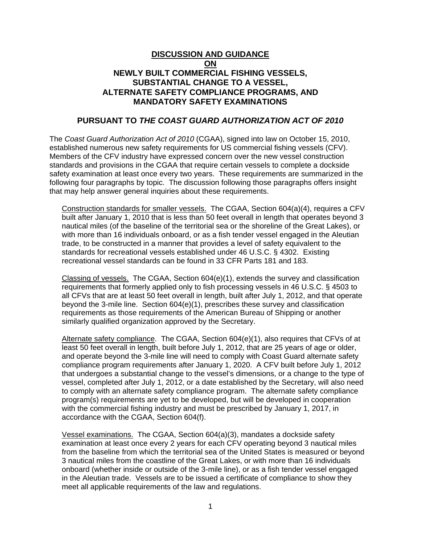## **DISCUSSION AND GUIDANCE ON NEWLY BUILT COMMERCIAL FISHING VESSELS, SUBSTANTIAL CHANGE TO A VESSEL, ALTERNATE SAFETY COMPLIANCE PROGRAMS, AND MANDATORY SAFETY EXAMINATIONS**

## **PURSUANT TO** *THE COAST GUARD AUTHORIZATION ACT OF 2010*

The *Coast Guard Authorization Act of 2010* (CGAA), signed into law on October 15, 2010, established numerous new safety requirements for US commercial fishing vessels (CFV). Members of the CFV industry have expressed concern over the new vessel construction standards and provisions in the CGAA that require certain vessels to complete a dockside safety examination at least once every two years. These requirements are summarized in the following four paragraphs by topic. The discussion following those paragraphs offers insight that may help answer general inquiries about these requirements.

Construction standards for smaller vessels. The CGAA, Section 604(a)(4), requires a CFV built after January 1, 2010 that is less than 50 feet overall in length that operates beyond 3 nautical miles (of the baseline of the territorial sea or the shoreline of the Great Lakes), or with more than 16 individuals onboard, or as a fish tender vessel engaged in the Aleutian trade, to be constructed in a manner that provides a level of safety equivalent to the standards for recreational vessels established under 46 U.S.C. § 4302. Existing recreational vessel standards can be found in 33 CFR Parts 181 and 183.

Classing of vessels. The CGAA, Section 604(e)(1), extends the survey and classification requirements that formerly applied only to fish processing vessels in 46 U.S.C. § 4503 to all CFVs that are at least 50 feet overall in length, built after July 1, 2012, and that operate beyond the 3-mile line. Section 604(e)(1), prescribes these survey and classification requirements as those requirements of the American Bureau of Shipping or another similarly qualified organization approved by the Secretary.

Alternate safety compliance. The CGAA, Section 604(e)(1), also requires that CFVs of at least 50 feet overall in length, built before July 1, 2012, that are 25 years of age or older, and operate beyond the 3-mile line will need to comply with Coast Guard alternate safety compliance program requirements after January 1, 2020. A CFV built before July 1, 2012 that undergoes a substantial change to the vessel's dimensions, or a change to the type of vessel, completed after July 1, 2012, or a date established by the Secretary, will also need to comply with an alternate safety compliance program. The alternate safety compliance program(s) requirements are yet to be developed, but will be developed in cooperation with the commercial fishing industry and must be prescribed by January 1, 2017, in accordance with the CGAA, Section 604(f).

Vessel examinations. The CGAA, Section 604(a)(3), mandates a dockside safety examination at least once every 2 years for each CFV operating beyond 3 nautical miles from the baseline from which the territorial sea of the United States is measured or beyond 3 nautical miles from the coastline of the Great Lakes, or with more than 16 individuals onboard (whether inside or outside of the 3-mile line), or as a fish tender vessel engaged in the Aleutian trade. Vessels are to be issued a certificate of compliance to show they meet all applicable requirements of the law and regulations.